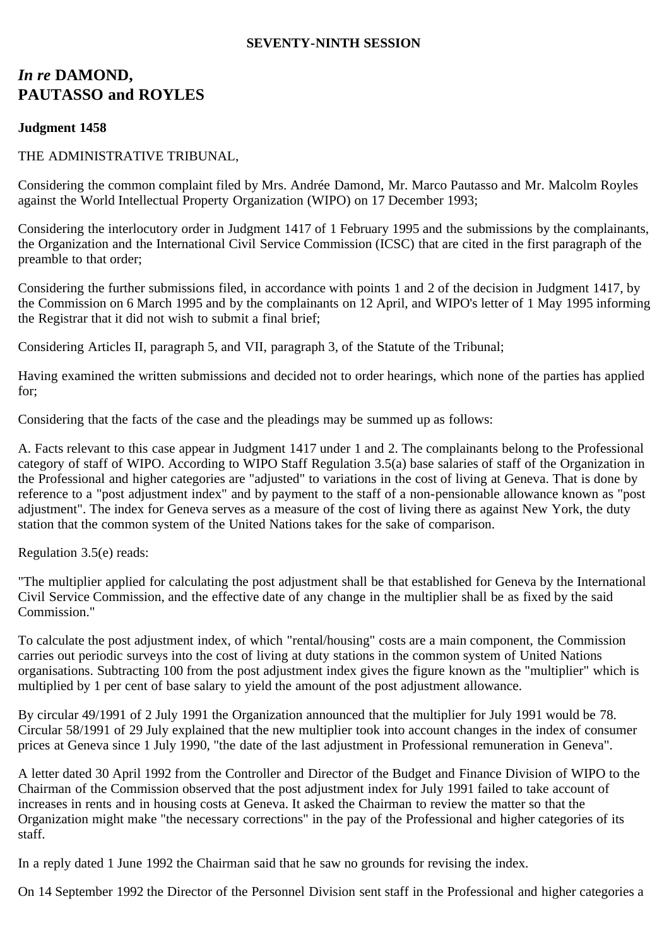### **SEVENTY-NINTH SESSION**

# *In re* **DAMOND, PAUTASSO and ROYLES**

### **Judgment 1458**

### THE ADMINISTRATIVE TRIBUNAL,

Considering the common complaint filed by Mrs. Andrée Damond, Mr. Marco Pautasso and Mr. Malcolm Royles against the World Intellectual Property Organization (WIPO) on 17 December 1993;

Considering the interlocutory order in Judgment 1417 of 1 February 1995 and the submissions by the complainants, the Organization and the International Civil Service Commission (ICSC) that are cited in the first paragraph of the preamble to that order;

Considering the further submissions filed, in accordance with points 1 and 2 of the decision in Judgment 1417, by the Commission on 6 March 1995 and by the complainants on 12 April, and WIPO's letter of 1 May 1995 informing the Registrar that it did not wish to submit a final brief;

Considering Articles II, paragraph 5, and VII, paragraph 3, of the Statute of the Tribunal;

Having examined the written submissions and decided not to order hearings, which none of the parties has applied for;

Considering that the facts of the case and the pleadings may be summed up as follows:

A. Facts relevant to this case appear in Judgment 1417 under 1 and 2. The complainants belong to the Professional category of staff of WIPO. According to WIPO Staff Regulation 3.5(a) base salaries of staff of the Organization in the Professional and higher categories are "adjusted" to variations in the cost of living at Geneva. That is done by reference to a "post adjustment index" and by payment to the staff of a non-pensionable allowance known as "post adjustment". The index for Geneva serves as a measure of the cost of living there as against New York, the duty station that the common system of the United Nations takes for the sake of comparison.

Regulation 3.5(e) reads:

"The multiplier applied for calculating the post adjustment shall be that established for Geneva by the International Civil Service Commission, and the effective date of any change in the multiplier shall be as fixed by the said Commission."

To calculate the post adjustment index, of which "rental/housing" costs are a main component, the Commission carries out periodic surveys into the cost of living at duty stations in the common system of United Nations organisations. Subtracting 100 from the post adjustment index gives the figure known as the "multiplier" which is multiplied by 1 per cent of base salary to yield the amount of the post adjustment allowance.

By circular 49/1991 of 2 July 1991 the Organization announced that the multiplier for July 1991 would be 78. Circular 58/1991 of 29 July explained that the new multiplier took into account changes in the index of consumer prices at Geneva since 1 July 1990, "the date of the last adjustment in Professional remuneration in Geneva".

A letter dated 30 April 1992 from the Controller and Director of the Budget and Finance Division of WIPO to the Chairman of the Commission observed that the post adjustment index for July 1991 failed to take account of increases in rents and in housing costs at Geneva. It asked the Chairman to review the matter so that the Organization might make "the necessary corrections" in the pay of the Professional and higher categories of its staff.

In a reply dated 1 June 1992 the Chairman said that he saw no grounds for revising the index.

On 14 September 1992 the Director of the Personnel Division sent staff in the Professional and higher categories a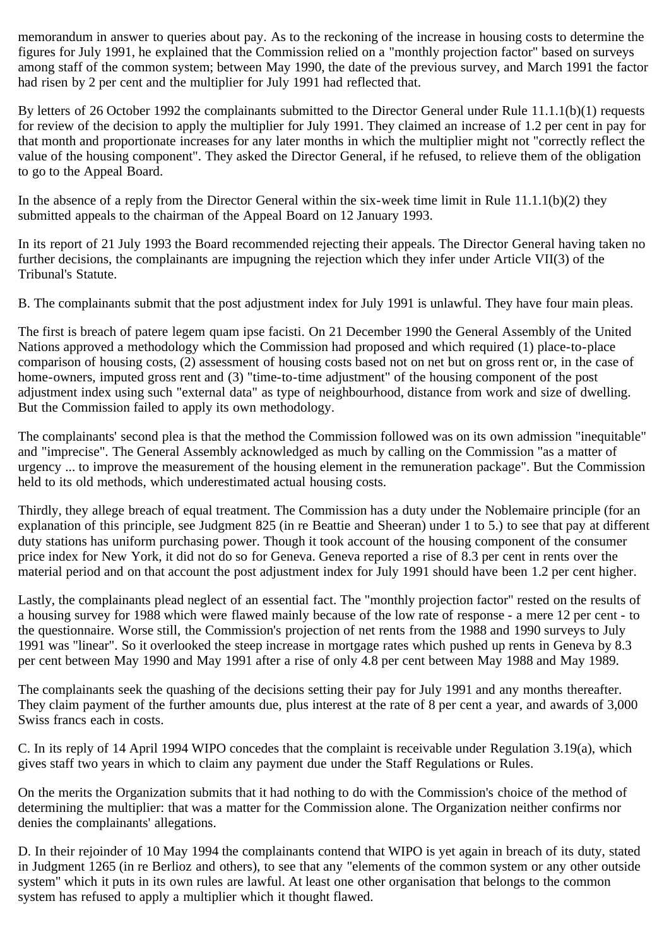memorandum in answer to queries about pay. As to the reckoning of the increase in housing costs to determine the figures for July 1991, he explained that the Commission relied on a "monthly projection factor" based on surveys among staff of the common system; between May 1990, the date of the previous survey, and March 1991 the factor had risen by 2 per cent and the multiplier for July 1991 had reflected that.

By letters of 26 October 1992 the complainants submitted to the Director General under Rule 11.1.1(b)(1) requests for review of the decision to apply the multiplier for July 1991. They claimed an increase of 1.2 per cent in pay for that month and proportionate increases for any later months in which the multiplier might not "correctly reflect the value of the housing component". They asked the Director General, if he refused, to relieve them of the obligation to go to the Appeal Board.

In the absence of a reply from the Director General within the six-week time limit in Rule 11.1.1(b)(2) they submitted appeals to the chairman of the Appeal Board on 12 January 1993.

In its report of 21 July 1993 the Board recommended rejecting their appeals. The Director General having taken no further decisions, the complainants are impugning the rejection which they infer under Article VII(3) of the Tribunal's Statute.

B. The complainants submit that the post adjustment index for July 1991 is unlawful. They have four main pleas.

The first is breach of patere legem quam ipse facisti. On 21 December 1990 the General Assembly of the United Nations approved a methodology which the Commission had proposed and which required (1) place-to-place comparison of housing costs, (2) assessment of housing costs based not on net but on gross rent or, in the case of home-owners, imputed gross rent and (3) "time-to-time adjustment" of the housing component of the post adjustment index using such "external data" as type of neighbourhood, distance from work and size of dwelling. But the Commission failed to apply its own methodology.

The complainants' second plea is that the method the Commission followed was on its own admission "inequitable" and "imprecise". The General Assembly acknowledged as much by calling on the Commission "as a matter of urgency ... to improve the measurement of the housing element in the remuneration package". But the Commission held to its old methods, which underestimated actual housing costs.

Thirdly, they allege breach of equal treatment. The Commission has a duty under the Noblemaire principle (for an explanation of this principle, see Judgment 825 (in re Beattie and Sheeran) under 1 to 5.) to see that pay at different duty stations has uniform purchasing power. Though it took account of the housing component of the consumer price index for New York, it did not do so for Geneva. Geneva reported a rise of 8.3 per cent in rents over the material period and on that account the post adjustment index for July 1991 should have been 1.2 per cent higher.

Lastly, the complainants plead neglect of an essential fact. The "monthly projection factor" rested on the results of a housing survey for 1988 which were flawed mainly because of the low rate of response - a mere 12 per cent - to the questionnaire. Worse still, the Commission's projection of net rents from the 1988 and 1990 surveys to July 1991 was "linear". So it overlooked the steep increase in mortgage rates which pushed up rents in Geneva by 8.3 per cent between May 1990 and May 1991 after a rise of only 4.8 per cent between May 1988 and May 1989.

The complainants seek the quashing of the decisions setting their pay for July 1991 and any months thereafter. They claim payment of the further amounts due, plus interest at the rate of 8 per cent a year, and awards of 3,000 Swiss francs each in costs.

C. In its reply of 14 April 1994 WIPO concedes that the complaint is receivable under Regulation 3.19(a), which gives staff two years in which to claim any payment due under the Staff Regulations or Rules.

On the merits the Organization submits that it had nothing to do with the Commission's choice of the method of determining the multiplier: that was a matter for the Commission alone. The Organization neither confirms nor denies the complainants' allegations.

D. In their rejoinder of 10 May 1994 the complainants contend that WIPO is yet again in breach of its duty, stated in Judgment 1265 (in re Berlioz and others), to see that any "elements of the common system or any other outside system" which it puts in its own rules are lawful. At least one other organisation that belongs to the common system has refused to apply a multiplier which it thought flawed.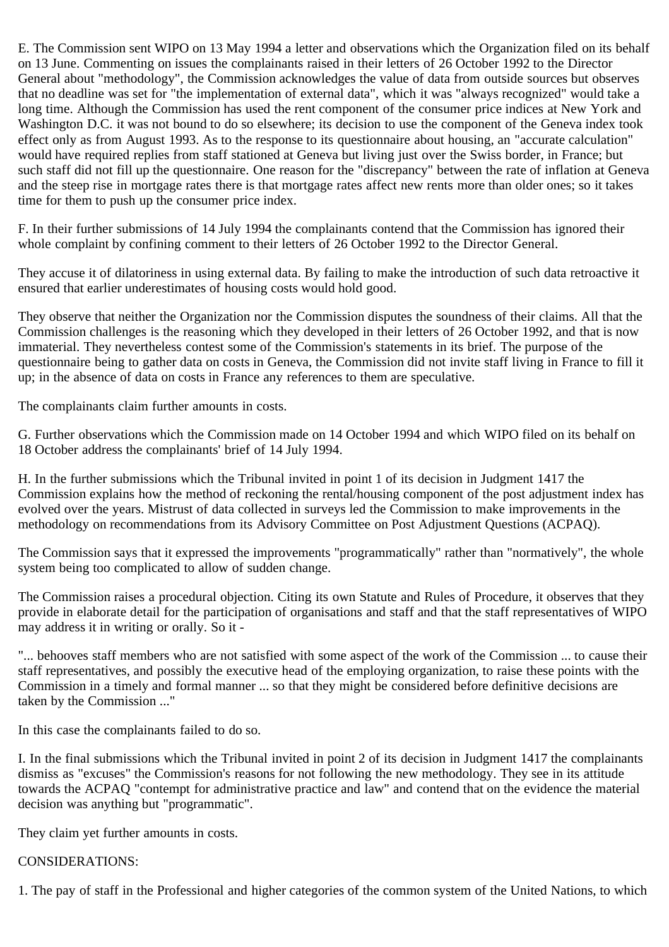E. The Commission sent WIPO on 13 May 1994 a letter and observations which the Organization filed on its behalf on 13 June. Commenting on issues the complainants raised in their letters of 26 October 1992 to the Director General about "methodology", the Commission acknowledges the value of data from outside sources but observes that no deadline was set for "the implementation of external data", which it was "always recognized" would take a long time. Although the Commission has used the rent component of the consumer price indices at New York and Washington D.C. it was not bound to do so elsewhere; its decision to use the component of the Geneva index took effect only as from August 1993. As to the response to its questionnaire about housing, an "accurate calculation" would have required replies from staff stationed at Geneva but living just over the Swiss border, in France; but such staff did not fill up the questionnaire. One reason for the "discrepancy" between the rate of inflation at Geneva and the steep rise in mortgage rates there is that mortgage rates affect new rents more than older ones; so it takes time for them to push up the consumer price index.

F. In their further submissions of 14 July 1994 the complainants contend that the Commission has ignored their whole complaint by confining comment to their letters of 26 October 1992 to the Director General.

They accuse it of dilatoriness in using external data. By failing to make the introduction of such data retroactive it ensured that earlier underestimates of housing costs would hold good.

They observe that neither the Organization nor the Commission disputes the soundness of their claims. All that the Commission challenges is the reasoning which they developed in their letters of 26 October 1992, and that is now immaterial. They nevertheless contest some of the Commission's statements in its brief. The purpose of the questionnaire being to gather data on costs in Geneva, the Commission did not invite staff living in France to fill it up; in the absence of data on costs in France any references to them are speculative.

The complainants claim further amounts in costs.

G. Further observations which the Commission made on 14 October 1994 and which WIPO filed on its behalf on 18 October address the complainants' brief of 14 July 1994.

H. In the further submissions which the Tribunal invited in point 1 of its decision in Judgment 1417 the Commission explains how the method of reckoning the rental/housing component of the post adjustment index has evolved over the years. Mistrust of data collected in surveys led the Commission to make improvements in the methodology on recommendations from its Advisory Committee on Post Adjustment Questions (ACPAQ).

The Commission says that it expressed the improvements "programmatically" rather than "normatively", the whole system being too complicated to allow of sudden change.

The Commission raises a procedural objection. Citing its own Statute and Rules of Procedure, it observes that they provide in elaborate detail for the participation of organisations and staff and that the staff representatives of WIPO may address it in writing or orally. So it -

"... behooves staff members who are not satisfied with some aspect of the work of the Commission ... to cause their staff representatives, and possibly the executive head of the employing organization, to raise these points with the Commission in a timely and formal manner ... so that they might be considered before definitive decisions are taken by the Commission ..."

In this case the complainants failed to do so.

I. In the final submissions which the Tribunal invited in point 2 of its decision in Judgment 1417 the complainants dismiss as "excuses" the Commission's reasons for not following the new methodology. They see in its attitude towards the ACPAQ "contempt for administrative practice and law" and contend that on the evidence the material decision was anything but "programmatic".

They claim yet further amounts in costs.

## CONSIDERATIONS:

1. The pay of staff in the Professional and higher categories of the common system of the United Nations, to which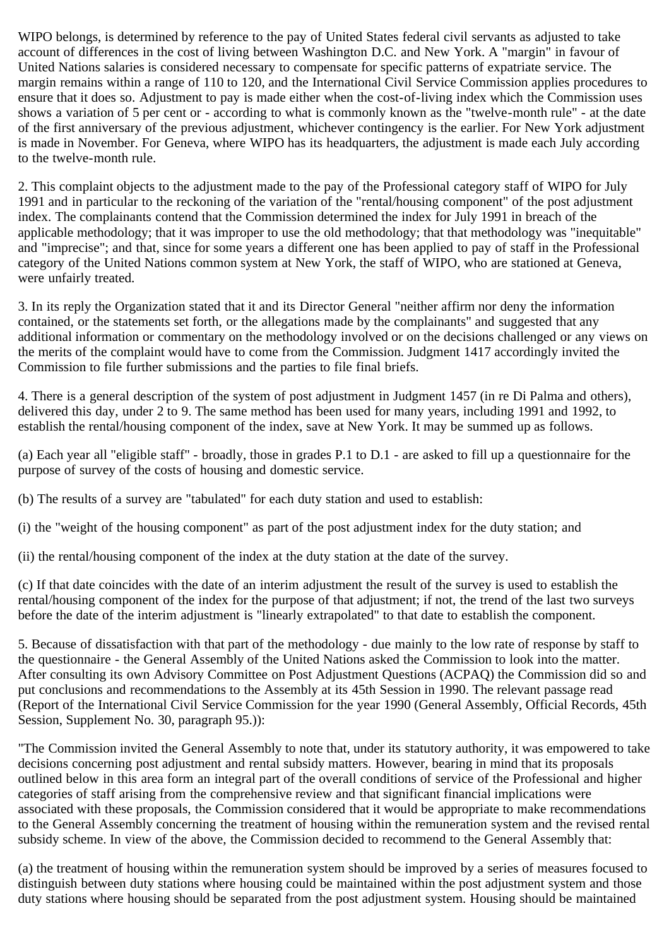WIPO belongs, is determined by reference to the pay of United States federal civil servants as adjusted to take account of differences in the cost of living between Washington D.C. and New York. A "margin" in favour of United Nations salaries is considered necessary to compensate for specific patterns of expatriate service. The margin remains within a range of 110 to 120, and the International Civil Service Commission applies procedures to ensure that it does so. Adjustment to pay is made either when the cost-of-living index which the Commission uses shows a variation of 5 per cent or - according to what is commonly known as the "twelve-month rule" - at the date of the first anniversary of the previous adjustment, whichever contingency is the earlier. For New York adjustment is made in November. For Geneva, where WIPO has its headquarters, the adjustment is made each July according to the twelve-month rule.

2. This complaint objects to the adjustment made to the pay of the Professional category staff of WIPO for July 1991 and in particular to the reckoning of the variation of the "rental/housing component" of the post adjustment index. The complainants contend that the Commission determined the index for July 1991 in breach of the applicable methodology; that it was improper to use the old methodology; that that methodology was "inequitable" and "imprecise"; and that, since for some years a different one has been applied to pay of staff in the Professional category of the United Nations common system at New York, the staff of WIPO, who are stationed at Geneva, were unfairly treated.

3. In its reply the Organization stated that it and its Director General "neither affirm nor deny the information contained, or the statements set forth, or the allegations made by the complainants" and suggested that any additional information or commentary on the methodology involved or on the decisions challenged or any views on the merits of the complaint would have to come from the Commission. Judgment 1417 accordingly invited the Commission to file further submissions and the parties to file final briefs.

4. There is a general description of the system of post adjustment in Judgment 1457 (in re Di Palma and others), delivered this day, under 2 to 9. The same method has been used for many years, including 1991 and 1992, to establish the rental/housing component of the index, save at New York. It may be summed up as follows.

(a) Each year all "eligible staff" - broadly, those in grades P.1 to D.1 - are asked to fill up a questionnaire for the purpose of survey of the costs of housing and domestic service.

(b) The results of a survey are "tabulated" for each duty station and used to establish:

(i) the "weight of the housing component" as part of the post adjustment index for the duty station; and

(ii) the rental/housing component of the index at the duty station at the date of the survey.

(c) If that date coincides with the date of an interim adjustment the result of the survey is used to establish the rental/housing component of the index for the purpose of that adjustment; if not, the trend of the last two surveys before the date of the interim adjustment is "linearly extrapolated" to that date to establish the component.

5. Because of dissatisfaction with that part of the methodology - due mainly to the low rate of response by staff to the questionnaire - the General Assembly of the United Nations asked the Commission to look into the matter. After consulting its own Advisory Committee on Post Adjustment Questions (ACPAQ) the Commission did so and put conclusions and recommendations to the Assembly at its 45th Session in 1990. The relevant passage read (Report of the International Civil Service Commission for the year 1990 (General Assembly, Official Records, 45th Session, Supplement No. 30, paragraph 95.)):

"The Commission invited the General Assembly to note that, under its statutory authority, it was empowered to take decisions concerning post adjustment and rental subsidy matters. However, bearing in mind that its proposals outlined below in this area form an integral part of the overall conditions of service of the Professional and higher categories of staff arising from the comprehensive review and that significant financial implications were associated with these proposals, the Commission considered that it would be appropriate to make recommendations to the General Assembly concerning the treatment of housing within the remuneration system and the revised rental subsidy scheme. In view of the above, the Commission decided to recommend to the General Assembly that:

(a) the treatment of housing within the remuneration system should be improved by a series of measures focused to distinguish between duty stations where housing could be maintained within the post adjustment system and those duty stations where housing should be separated from the post adjustment system. Housing should be maintained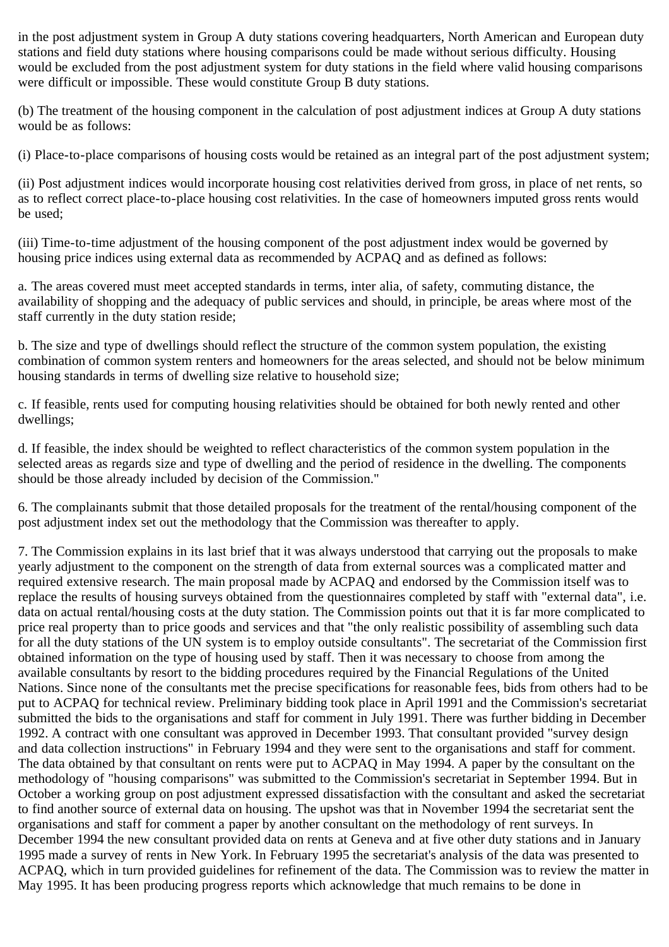in the post adjustment system in Group A duty stations covering headquarters, North American and European duty stations and field duty stations where housing comparisons could be made without serious difficulty. Housing would be excluded from the post adjustment system for duty stations in the field where valid housing comparisons were difficult or impossible. These would constitute Group B duty stations.

(b) The treatment of the housing component in the calculation of post adjustment indices at Group A duty stations would be as follows:

(i) Place-to-place comparisons of housing costs would be retained as an integral part of the post adjustment system;

(ii) Post adjustment indices would incorporate housing cost relativities derived from gross, in place of net rents, so as to reflect correct place-to-place housing cost relativities. In the case of homeowners imputed gross rents would be used;

(iii) Time-to-time adjustment of the housing component of the post adjustment index would be governed by housing price indices using external data as recommended by ACPAQ and as defined as follows:

a. The areas covered must meet accepted standards in terms, inter alia, of safety, commuting distance, the availability of shopping and the adequacy of public services and should, in principle, be areas where most of the staff currently in the duty station reside;

b. The size and type of dwellings should reflect the structure of the common system population, the existing combination of common system renters and homeowners for the areas selected, and should not be below minimum housing standards in terms of dwelling size relative to household size;

c. If feasible, rents used for computing housing relativities should be obtained for both newly rented and other dwellings;

d. If feasible, the index should be weighted to reflect characteristics of the common system population in the selected areas as regards size and type of dwelling and the period of residence in the dwelling. The components should be those already included by decision of the Commission."

6. The complainants submit that those detailed proposals for the treatment of the rental/housing component of the post adjustment index set out the methodology that the Commission was thereafter to apply.

7. The Commission explains in its last brief that it was always understood that carrying out the proposals to make yearly adjustment to the component on the strength of data from external sources was a complicated matter and required extensive research. The main proposal made by ACPAQ and endorsed by the Commission itself was to replace the results of housing surveys obtained from the questionnaires completed by staff with "external data", i.e. data on actual rental/housing costs at the duty station. The Commission points out that it is far more complicated to price real property than to price goods and services and that "the only realistic possibility of assembling such data for all the duty stations of the UN system is to employ outside consultants". The secretariat of the Commission first obtained information on the type of housing used by staff. Then it was necessary to choose from among the available consultants by resort to the bidding procedures required by the Financial Regulations of the United Nations. Since none of the consultants met the precise specifications for reasonable fees, bids from others had to be put to ACPAQ for technical review. Preliminary bidding took place in April 1991 and the Commission's secretariat submitted the bids to the organisations and staff for comment in July 1991. There was further bidding in December 1992. A contract with one consultant was approved in December 1993. That consultant provided "survey design and data collection instructions" in February 1994 and they were sent to the organisations and staff for comment. The data obtained by that consultant on rents were put to ACPAQ in May 1994. A paper by the consultant on the methodology of "housing comparisons" was submitted to the Commission's secretariat in September 1994. But in October a working group on post adjustment expressed dissatisfaction with the consultant and asked the secretariat to find another source of external data on housing. The upshot was that in November 1994 the secretariat sent the organisations and staff for comment a paper by another consultant on the methodology of rent surveys. In December 1994 the new consultant provided data on rents at Geneva and at five other duty stations and in January 1995 made a survey of rents in New York. In February 1995 the secretariat's analysis of the data was presented to ACPAQ, which in turn provided guidelines for refinement of the data. The Commission was to review the matter in May 1995. It has been producing progress reports which acknowledge that much remains to be done in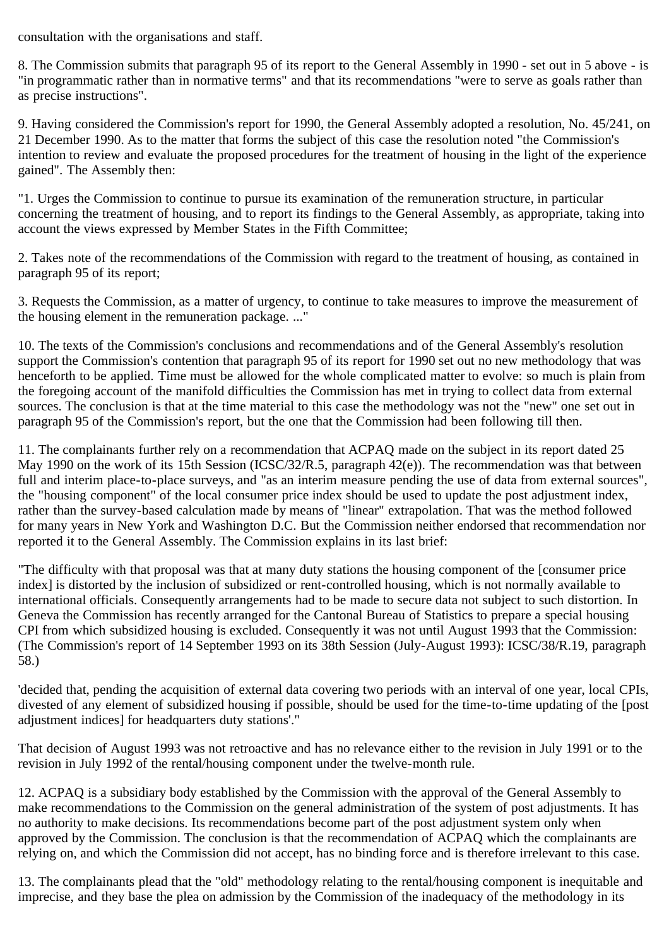consultation with the organisations and staff.

8. The Commission submits that paragraph 95 of its report to the General Assembly in 1990 - set out in 5 above - is "in programmatic rather than in normative terms" and that its recommendations "were to serve as goals rather than as precise instructions".

9. Having considered the Commission's report for 1990, the General Assembly adopted a resolution, No. 45/241, on 21 December 1990. As to the matter that forms the subject of this case the resolution noted "the Commission's intention to review and evaluate the proposed procedures for the treatment of housing in the light of the experience gained". The Assembly then:

"1. Urges the Commission to continue to pursue its examination of the remuneration structure, in particular concerning the treatment of housing, and to report its findings to the General Assembly, as appropriate, taking into account the views expressed by Member States in the Fifth Committee;

2. Takes note of the recommendations of the Commission with regard to the treatment of housing, as contained in paragraph 95 of its report;

3. Requests the Commission, as a matter of urgency, to continue to take measures to improve the measurement of the housing element in the remuneration package. ..."

10. The texts of the Commission's conclusions and recommendations and of the General Assembly's resolution support the Commission's contention that paragraph 95 of its report for 1990 set out no new methodology that was henceforth to be applied. Time must be allowed for the whole complicated matter to evolve: so much is plain from the foregoing account of the manifold difficulties the Commission has met in trying to collect data from external sources. The conclusion is that at the time material to this case the methodology was not the "new" one set out in paragraph 95 of the Commission's report, but the one that the Commission had been following till then.

11. The complainants further rely on a recommendation that ACPAQ made on the subject in its report dated 25 May 1990 on the work of its 15th Session (ICSC/32/R.5, paragraph 42(e)). The recommendation was that between full and interim place-to-place surveys, and "as an interim measure pending the use of data from external sources", the "housing component" of the local consumer price index should be used to update the post adjustment index, rather than the survey-based calculation made by means of "linear" extrapolation. That was the method followed for many years in New York and Washington D.C. But the Commission neither endorsed that recommendation nor reported it to the General Assembly. The Commission explains in its last brief:

"The difficulty with that proposal was that at many duty stations the housing component of the [consumer price index] is distorted by the inclusion of subsidized or rent-controlled housing, which is not normally available to international officials. Consequently arrangements had to be made to secure data not subject to such distortion. In Geneva the Commission has recently arranged for the Cantonal Bureau of Statistics to prepare a special housing CPI from which subsidized housing is excluded. Consequently it was not until August 1993 that the Commission: (The Commission's report of 14 September 1993 on its 38th Session (July-August 1993): ICSC/38/R.19, paragraph 58.)

'decided that, pending the acquisition of external data covering two periods with an interval of one year, local CPIs, divested of any element of subsidized housing if possible, should be used for the time-to-time updating of the [post adjustment indices] for headquarters duty stations'."

That decision of August 1993 was not retroactive and has no relevance either to the revision in July 1991 or to the revision in July 1992 of the rental/housing component under the twelve-month rule.

12. ACPAQ is a subsidiary body established by the Commission with the approval of the General Assembly to make recommendations to the Commission on the general administration of the system of post adjustments. It has no authority to make decisions. Its recommendations become part of the post adjustment system only when approved by the Commission. The conclusion is that the recommendation of ACPAQ which the complainants are relying on, and which the Commission did not accept, has no binding force and is therefore irrelevant to this case.

13. The complainants plead that the "old" methodology relating to the rental/housing component is inequitable and imprecise, and they base the plea on admission by the Commission of the inadequacy of the methodology in its